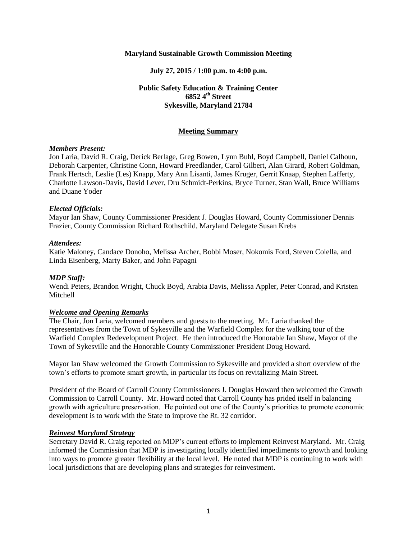### **Maryland Sustainable Growth Commission Meeting**

### **July 27, 2015 / 1:00 p.m. to 4:00 p.m.**

### **Public Safety Education & Training Center 6852 4th Street Sykesville, Maryland 21784**

### **Meeting Summary**

#### *Members Present:*

Jon Laria, David R. Craig, Derick Berlage, Greg Bowen, Lynn Buhl, Boyd Campbell, Daniel Calhoun, Deborah Carpenter, Christine Conn, Howard Freedlander, Carol Gilbert, Alan Girard, Robert Goldman, Frank Hertsch, Leslie (Les) Knapp, Mary Ann Lisanti, James Kruger, Gerrit Knaap, Stephen Lafferty, Charlotte Lawson-Davis, David Lever, Dru Schmidt-Perkins, Bryce Turner, Stan Wall, Bruce Williams and Duane Yoder

#### *Elected Officials:*

Mayor Ian Shaw, County Commissioner President J. Douglas Howard, County Commissioner Dennis Frazier, County Commission Richard Rothschild, Maryland Delegate Susan Krebs

#### *Attendees:*

Katie Maloney, Candace Donoho, Melissa Archer, Bobbi Moser, Nokomis Ford, Steven Colella, and Linda Eisenberg, Marty Baker, and John Papagni

#### *MDP Staff:*

Wendi Peters, Brandon Wright, Chuck Boyd, Arabia Davis, Melissa Appler, Peter Conrad, and Kristen Mitchell

#### *Welcome and Opening Remarks*

The Chair, Jon Laria, welcomed members and guests to the meeting. Mr. Laria thanked the representatives from the Town of Sykesville and the Warfield Complex for the walking tour of the Warfield Complex Redevelopment Project. He then introduced the Honorable Ian Shaw, Mayor of the Town of Sykesville and the Honorable County Commissioner President Doug Howard.

Mayor Ian Shaw welcomed the Growth Commission to Sykesville and provided a short overview of the town's efforts to promote smart growth, in particular its focus on revitalizing Main Street.

President of the Board of Carroll County Commissioners J. Douglas Howard then welcomed the Growth Commission to Carroll County. Mr. Howard noted that Carroll County has prided itself in balancing growth with agriculture preservation. He pointed out one of the County's priorities to promote economic development is to work with the State to improve the Rt. 32 corridor.

#### *Reinvest Maryland Strategy*

Secretary David R. Craig reported on MDP's current efforts to implement Reinvest Maryland. Mr. Craig informed the Commission that MDP is investigating locally identified impediments to growth and looking into ways to promote greater flexibility at the local level. He noted that MDP is continuing to work with local jurisdictions that are developing plans and strategies for reinvestment.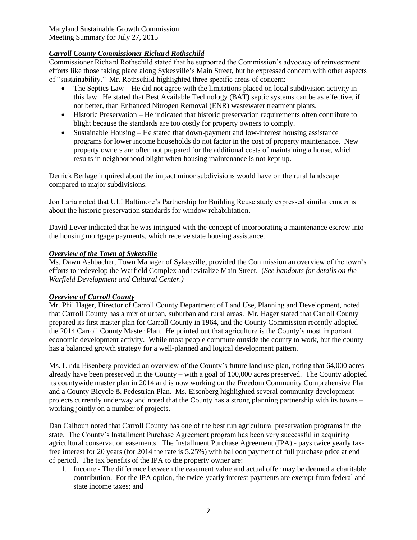Maryland Sustainable Growth Commission Meeting Summary for July 27, 2015

# *Carroll County Commissioner Richard Rothschild*

Commissioner Richard Rothschild stated that he supported the Commission's advocacy of reinvestment efforts like those taking place along Sykesville's Main Street, but he expressed concern with other aspects of "sustainability." Mr. Rothschild highlighted three specific areas of concern:

- The Septics Law He did not agree with the limitations placed on local subdivision activity in this law. He stated that Best Available Technology (BAT) septic systems can be as effective, if not better, than Enhanced Nitrogen Removal (ENR) wastewater treatment plants.
- Historic Preservation He indicated that historic preservation requirements often contribute to blight because the standards are too costly for property owners to comply.
- Sustainable Housing He stated that down-payment and low-interest housing assistance programs for lower income households do not factor in the cost of property maintenance. New property owners are often not prepared for the additional costs of maintaining a house, which results in neighborhood blight when housing maintenance is not kept up.

Derrick Berlage inquired about the impact minor subdivisions would have on the rural landscape compared to major subdivisions.

Jon Laria noted that ULI Baltimore's Partnership for Building Reuse study expressed similar concerns about the historic preservation standards for window rehabilitation.

David Lever indicated that he was intrigued with the concept of incorporating a maintenance escrow into the housing mortgage payments, which receive state housing assistance.

### *Overview of the Town of Sykesville*

Ms. Dawn Ashbacher, Town Manager of Sykesville, provided the Commission an overview of the town's efforts to redevelop the Warfield Complex and revitalize Main Street. (*See handouts for details on the Warfield Development and Cultural Center.)*

### *Overview of Carroll County*

Mr. Phil Hager, Director of Carroll County Department of Land Use, Planning and Development, noted that Carroll County has a mix of urban, suburban and rural areas. Mr. Hager stated that Carroll County prepared its first master plan for Carroll County in 1964, and the County Commission recently adopted the 2014 Carroll County Master Plan. He pointed out that agriculture is the County's most important economic development activity. While most people commute outside the county to work, but the county has a balanced growth strategy for a well-planned and logical development pattern.

Ms. Linda Eisenberg provided an overview of the County's future land use plan, noting that 64,000 acres already have been preserved in the County – with a goal of 100,000 acres preserved. The County adopted its countywide master plan in 2014 and is now working on the Freedom Community Comprehensive Plan and a County Bicycle & Pedestrian Plan. Ms. Eisenberg highlighted several community development projects currently underway and noted that the County has a strong planning partnership with its towns – working jointly on a number of projects.

Dan Calhoun noted that Carroll County has one of the best run agricultural preservation programs in the state. The County's Installment Purchase Agreement program has been very successful in acquiring agricultural conservation easements. The Installment Purchase Agreement (IPA) - pays twice yearly taxfree interest for 20 years (for 2014 the rate is 5.25%) with balloon payment of full purchase price at end of period. The tax benefits of the IPA to the property owner are:

1. Income - The difference between the easement value and actual offer may be deemed a charitable contribution. For the IPA option, the twice-yearly interest payments are exempt from federal and state income taxes; and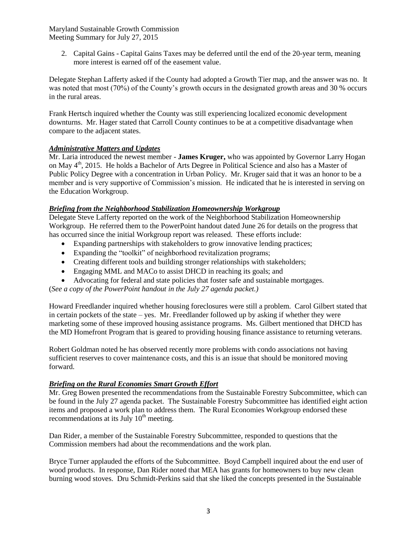Maryland Sustainable Growth Commission Meeting Summary for July 27, 2015

2. Capital Gains - Capital Gains Taxes may be deferred until the end of the 20-year term, meaning more interest is earned off of the easement value.

Delegate Stephan Lafferty asked if the County had adopted a Growth Tier map, and the answer was no. It was noted that most (70%) of the County's growth occurs in the designated growth areas and 30 % occurs in the rural areas.

Frank Hertsch inquired whether the County was still experiencing localized economic development downturns. Mr. Hager stated that Carroll County continues to be at a competitive disadvantage when compare to the adjacent states.

## *Administrative Matters and Updates*

Mr. Laria introduced the newest member - **James Kruger,** who was appointed by Governor Larry Hogan on May  $4<sup>th</sup>$ , 2015. He holds a Bachelor of Arts Degree in Political Science and also has a Master of Public Policy Degree with a concentration in Urban Policy. Mr. Kruger said that it was an honor to be a member and is very supportive of Commission's mission. He indicated that he is interested in serving on the Education Workgroup.

## *Briefing from the Neighborhood Stabilization Homeownership Workgroup*

Delegate Steve Lafferty reported on the work of the Neighborhood Stabilization Homeownership Workgroup. He referred them to the PowerPoint handout dated June 26 for details on the progress that has occurred since the initial Workgroup report was released. These efforts include:

- Expanding partnerships with stakeholders to grow innovative lending practices;
- Expanding the "toolkit" of neighborhood revitalization programs;
- Creating different tools and building stronger relationships with stakeholders;
- Engaging MML and MACo to assist DHCD in reaching its goals; and
- Advocating for federal and state policies that foster safe and sustainable mortgages.

(*See a copy of the PowerPoint handout in the July 27 agenda packet.)*

Howard Freedlander inquired whether housing foreclosures were still a problem. Carol Gilbert stated that in certain pockets of the state – yes. Mr. Freedlander followed up by asking if whether they were marketing some of these improved housing assistance programs. Ms. Gilbert mentioned that DHCD has the MD Homefront Program that is geared to providing housing finance assistance to returning veterans.

Robert Goldman noted he has observed recently more problems with condo associations not having sufficient reserves to cover maintenance costs, and this is an issue that should be monitored moving forward.

## *Briefing on the Rural Economies Smart Growth Effort*

Mr. Greg Bowen presented the recommendations from the Sustainable Forestry Subcommittee, which can be found in the July 27 agenda packet. The Sustainable Forestry Subcommittee has identified eight action items and proposed a work plan to address them. The Rural Economies Workgroup endorsed these recommendations at its July  $10<sup>th</sup>$  meeting.

Dan Rider, a member of the Sustainable Forestry Subcommittee, responded to questions that the Commission members had about the recommendations and the work plan.

Bryce Turner applauded the efforts of the Subcommittee. Boyd Campbell inquired about the end user of wood products. In response, Dan Rider noted that MEA has grants for homeowners to buy new clean burning wood stoves. Dru Schmidt-Perkins said that she liked the concepts presented in the Sustainable